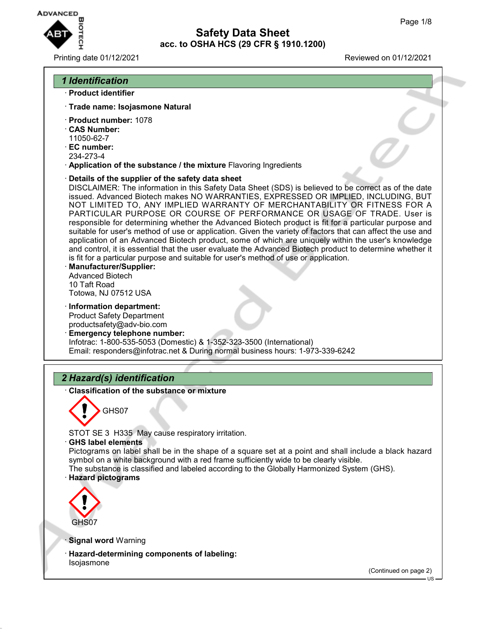

Printing date 01/12/2021 Reviewed on 01/12/2021

# *1 Identification* · **Product identifier** · **Trade name: Isojasmone Natural** · **Product number:** 1078 · **CAS Number:** 11050-62-7 · **EC number:** 234-273-4 · **Application of the substance / the mixture** Flavoring Ingredients · **Details of the supplier of the safety data sheet** DISCLAIMER: The information in this Safety Data Sheet (SDS) is believed to be correct as of the date issued. Advanced Biotech makes NO WARRANTIES, EXPRESSED OR IMPLIED, INCLUDING, BUT NOT LIMITED TO, ANY IMPLIED WARRANTY OF MERCHANTABILITY OR FITNESS FOR A PARTICULAR PURPOSE OR COURSE OF PERFORMANCE OR USAGE OF TRADE. User is responsible for determining whether the Advanced Biotech product is fit for a particular purpose and suitable for user's method of use or application. Given the variety of factors that can affect the use and application of an Advanced Biotech product, some of which are uniquely within the user's knowledge and control, it is essential that the user evaluate the Advanced Biotech product to determine whether it is fit for a particular purpose and suitable for user's method of use or application. · **Manufacturer/Supplier:** Advanced Biotech 10 Taft Road Totowa, NJ 07512 USA · **Information department:** Product Safety Department productsafety@adv-bio.com · **Emergency telephone number:** Infotrac: 1-800-535-5053 (Domestic) & 1-352-323-3500 (International) Email: responders@infotrac.net & During normal business hours: 1-973-339-6242 *2 Hazard(s) identification* · **Classification of the substance or mixture** GHS07 STOT SE 3 H335 May cause respiratory irritation. · **GHS label elements** Pictograms on label shall be in the shape of a square set at a point and shall include a black hazard symbol on a white background with a red frame sufficiently wide to be clearly visible. The substance is classified and labeled according to the Globally Harmonized System (GHS). · **Hazard pictograms** GHS07 **Signal word Warning** · **Hazard-determining components of labeling:** Isojasmone (Continued on page 2)

US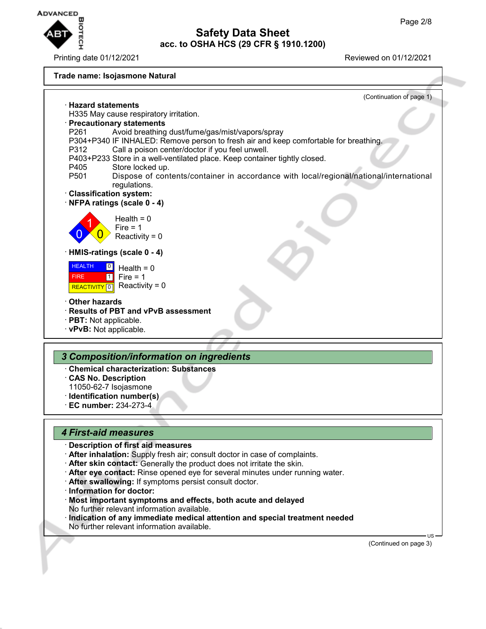

Printing date 01/12/2021 Reviewed on 01/12/2021

#### **Trade name: Isojasmone Natural**



### *4 First-aid measures*

### · **Description of first aid measures**

- · **After inhalation:** Supply fresh air; consult doctor in case of complaints.
- · **After skin contact:** Generally the product does not irritate the skin.
- · **After eye contact:** Rinse opened eye for several minutes under running water.
- · **After swallowing:** If symptoms persist consult doctor.
- · **Information for doctor:**
- · **Most important symptoms and effects, both acute and delayed** No further relevant information available.
- · **Indication of any immediate medical attention and special treatment needed** No further relevant information available.

(Continued on page 3)

US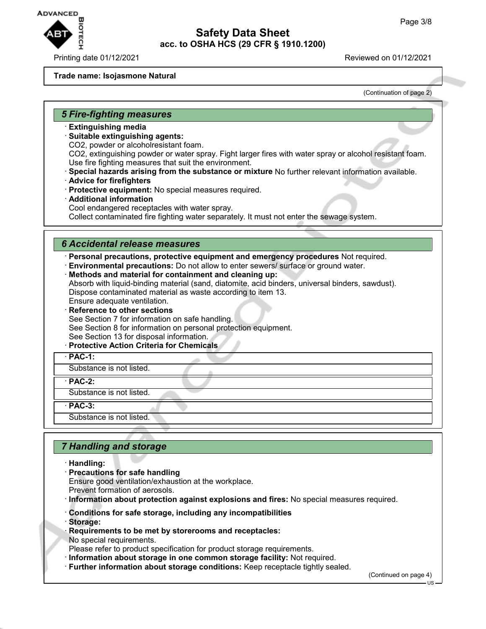

#### **Trade name: Isojasmone Natural**

(Continuation of page 2)

#### *5 Fire-fighting measures*

- · **Extinguishing media**
- · **Suitable extinguishing agents:**
- CO2, powder or alcoholresistant foam.

CO2, extinguishing powder or water spray. Fight larger fires with water spray or alcohol resistant foam. Use fire fighting measures that suit the environment.

- · **Special hazards arising from the substance or mixture** No further relevant information available.
- · **Advice for firefighters**
- · **Protective equipment:** No special measures required.
- · **Additional information** Cool endangered receptacles with water spray. Collect contaminated fire fighting water separately. It must not enter the sewage system.

#### *6 Accidental release measures*

· **Personal precautions, protective equipment and emergency procedures** Not required.

- · **Environmental precautions:** Do not allow to enter sewers/ surface or ground water.
- · **Methods and material for containment and cleaning up:**

Absorb with liquid-binding material (sand, diatomite, acid binders, universal binders, sawdust). Dispose contaminated material as waste according to item 13. Ensure adequate ventilation.

**Reference to other sections** 

See Section 7 for information on safe handling.

See Section 8 for information on personal protection equipment.

- See Section 13 for disposal information.
- · **Protective Action Criteria for Chemicals**

· **PAC-1:**

Substance is not listed.

· **PAC-2:**

Substance is not listed.

· **PAC-3:**

Substance is not listed.

## *7 Handling and storage*

- · **Handling:**
- · **Precautions for safe handling** Ensure good ventilation/exhaustion at the workplace. Prevent formation of aerosols.
- · **Information about protection against explosions and fires:** No special measures required.
- · **Conditions for safe storage, including any incompatibilities**
- · **Storage:**
- · **Requirements to be met by storerooms and receptacles:** No special requirements.
- Please refer to product specification for product storage requirements.
- · **Information about storage in one common storage facility:** Not required.
- · **Further information about storage conditions:** Keep receptacle tightly sealed.

(Continued on page 4)

US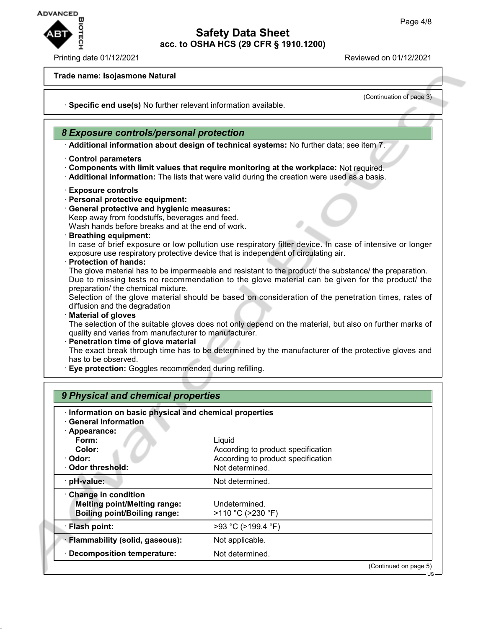

#### Printing date 01/12/2021 Reviewed on 01/12/2021

(Continuation of page 3)

#### **Trade name: Isojasmone Natural**

· **Specific end use(s)** No further relevant information available.

### *8 Exposure controls/personal protection*

· **Additional information about design of technical systems:** No further data; see item 7.

- · **Control parameters**
- · **Components with limit values that require monitoring at the workplace:** Not required.
- · **Additional information:** The lists that were valid during the creation were used as a basis.
- · **Exposure controls**
- · **Personal protective equipment:**
- · **General protective and hygienic measures:**
- Keep away from foodstuffs, beverages and feed.

Wash hands before breaks and at the end of work.

· **Breathing equipment:**

In case of brief exposure or low pollution use respiratory filter device. In case of intensive or longer exposure use respiratory protective device that is independent of circulating air.

· **Protection of hands:**

The glove material has to be impermeable and resistant to the product/ the substance/ the preparation. Due to missing tests no recommendation to the glove material can be given for the product/ the preparation/ the chemical mixture.

Selection of the glove material should be based on consideration of the penetration times, rates of diffusion and the degradation

#### · **Material of gloves**

The selection of the suitable gloves does not only depend on the material, but also on further marks of quality and varies from manufacturer to manufacturer.

# · **Penetration time of glove material**

The exact break through time has to be determined by the manufacturer of the protective gloves and has to be observed.

· **Eye protection:** Goggles recommended during refilling.

| · Information on basic physical and chemical properties<br><b>General Information</b> |                                    |  |
|---------------------------------------------------------------------------------------|------------------------------------|--|
| · Appearance:                                                                         |                                    |  |
| Form:                                                                                 | Liquid                             |  |
| Color:                                                                                | According to product specification |  |
| · Odor:                                                                               | According to product specification |  |
| Odor threshold:                                                                       | Not determined.                    |  |
| · pH-value:                                                                           | Not determined.                    |  |
| Change in condition                                                                   |                                    |  |
| <b>Melting point/Melting range:</b>                                                   | Undetermined.                      |  |
| <b>Boiling point/Boiling range:</b>                                                   | >110 °C (>230 °F)                  |  |
| · Flash point:                                                                        | >93 °C (>199.4 °F)                 |  |
| · Flammability (solid, gaseous):                                                      | Not applicable.                    |  |
| <b>Decomposition temperature:</b>                                                     | Not determined.                    |  |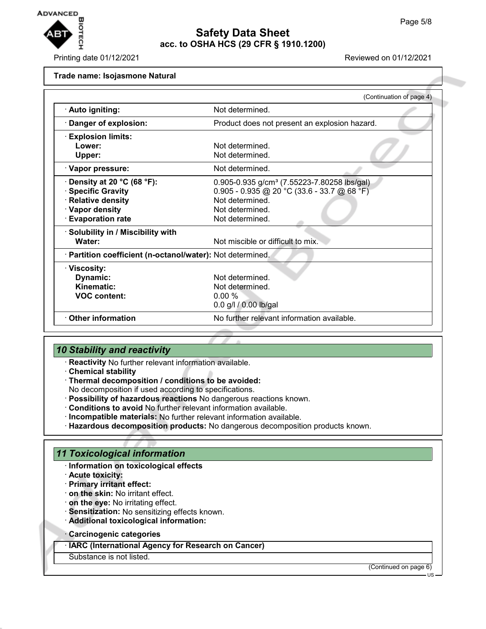

Printing date 01/12/2021 Reviewed on 01/12/2021

#### **Trade name: Isojasmone Natural**

|                                                            | (Continuation of page 4)                                |  |  |
|------------------------------------------------------------|---------------------------------------------------------|--|--|
| · Auto igniting:                                           | Not determined.                                         |  |  |
| Danger of explosion:                                       | Product does not present an explosion hazard.           |  |  |
| <b>Explosion limits:</b>                                   |                                                         |  |  |
| Lower:                                                     | Not determined.                                         |  |  |
| Upper:                                                     | Not determined.                                         |  |  |
| · Vapor pressure:                                          | Not determined.                                         |  |  |
| Density at 20 $^{\circ}$ C (68 $^{\circ}$ F):              | 0.905-0.935 g/cm <sup>3</sup> (7.55223-7.80258 lbs/gal) |  |  |
| <b>Specific Gravity</b>                                    | $0.905 - 0.935$ @ 20 °C (33.6 - 33.7 @ 68 °F)           |  |  |
| <b>Relative density</b>                                    | Not determined.                                         |  |  |
| · Vapor density                                            | Not determined.                                         |  |  |
| <b>Evaporation rate</b>                                    | Not determined.                                         |  |  |
| Solubility in / Miscibility with                           |                                                         |  |  |
| Water:                                                     | Not miscible or difficult to mix.                       |  |  |
| · Partition coefficient (n-octanol/water): Not determined. |                                                         |  |  |
| · Viscosity:                                               |                                                         |  |  |
| Dynamic:                                                   | Not determined.                                         |  |  |
| Kinematic:                                                 | Not determined.                                         |  |  |
| <b>VOC content:</b>                                        | 0.00%                                                   |  |  |
|                                                            | 0.0 g/l / 0.00 lb/gal                                   |  |  |
| <b>Other information</b>                                   | No further relevant information available.              |  |  |
|                                                            |                                                         |  |  |

### *10 Stability and reactivity*

- · **Reactivity** No further relevant information available.
- · **Chemical stability**
- · **Thermal decomposition / conditions to be avoided:**

No decomposition if used according to specifications.

- · **Possibility of hazardous reactions** No dangerous reactions known.
- · **Conditions to avoid** No further relevant information available.
- · **Incompatible materials:** No further relevant information available.
- · **Hazardous decomposition products:** No dangerous decomposition products known.

### *11 Toxicological information*

- · **Information on toxicological effects**
- · **Acute toxicity:**
- · **Primary irritant effect:**
- · **on the skin:** No irritant effect.
- · **on the eye:** No irritating effect.
- · **Sensitization:** No sensitizing effects known.
- · **Additional toxicological information:**
- · **Carcinogenic categories**

· **IARC (International Agency for Research on Cancer)**

Substance is not listed.

(Continued on page 6)

US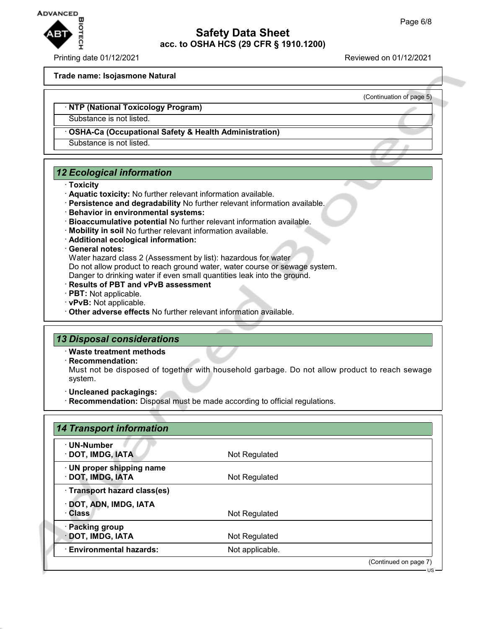

#### Printing date 01/12/2021 Reviewed on 01/12/2021

(Continuation of page 5)

#### **Trade name: Isojasmone Natural**

#### · **NTP (National Toxicology Program)**

Substance is not listed.

### · **OSHA-Ca (Occupational Safety & Health Administration)**

Substance is not listed.

### *12 Ecological information*

#### · **Toxicity**

- · **Aquatic toxicity:** No further relevant information available.
- · **Persistence and degradability** No further relevant information available.
- · **Behavior in environmental systems:**
- · **Bioaccumulative potential** No further relevant information available.
- · **Mobility in soil** No further relevant information available.
- · **Additional ecological information:**

#### · **General notes:**

Water hazard class 2 (Assessment by list): hazardous for water Do not allow product to reach ground water, water course or sewage system.

- Danger to drinking water if even small quantities leak into the ground.
- · **Results of PBT and vPvB assessment**
- · **PBT:** Not applicable.
- · **vPvB:** Not applicable.
- · **Other adverse effects** No further relevant information available.

### *13 Disposal considerations*

- · **Waste treatment methods**
- · **Recommendation:**

Must not be disposed of together with household garbage. Do not allow product to reach sewage system.

- · **Uncleaned packagings:**
- · **Recommendation:** Disposal must be made according to official regulations.

| · UN-Number                   |                 |                       |
|-------------------------------|-----------------|-----------------------|
| · DOT, IMDG, IATA             | Not Regulated   |                       |
| · UN proper shipping name     |                 |                       |
| · DOT, IMDG, IATA             | Not Regulated   |                       |
| · Transport hazard class(es)  |                 |                       |
| · DOT, ADN, IMDG, IATA        |                 |                       |
| ∴ Class                       | Not Regulated   |                       |
| · Packing group               |                 |                       |
| · DOT, IMDG, IATA             | Not Regulated   |                       |
| <b>Environmental hazards:</b> | Not applicable. |                       |
|                               |                 | (Continued on page 7) |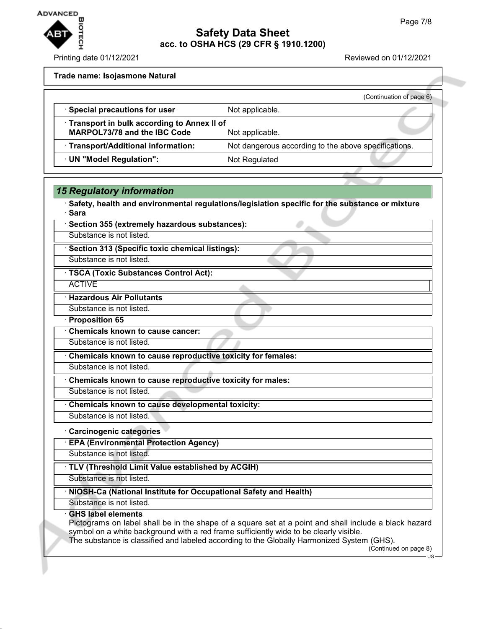

Printing date 01/12/2021 Reviewed on 01/12/2021

#### **Trade name: Isojasmone Natural**

*15 Regulatory information*

|                                                                                   | (Continuation of page 6)                             |
|-----------------------------------------------------------------------------------|------------------------------------------------------|
| · Special precautions for user                                                    | Not applicable.                                      |
| Transport in bulk according to Annex II of<br><b>MARPOL73/78 and the IBC Code</b> | Not applicable.                                      |
| · Transport/Additional information:                                               | Not dangerous according to the above specifications. |
| · UN "Model Regulation":                                                          | Not Regulated                                        |
|                                                                                   |                                                      |

| Section 355 (extremely hazardous substances):                                                                                                                                                                                                                                                                                                       |
|-----------------------------------------------------------------------------------------------------------------------------------------------------------------------------------------------------------------------------------------------------------------------------------------------------------------------------------------------------|
| Substance is not listed.                                                                                                                                                                                                                                                                                                                            |
| Section 313 (Specific toxic chemical listings):                                                                                                                                                                                                                                                                                                     |
| Substance is not listed.                                                                                                                                                                                                                                                                                                                            |
| · TSCA (Toxic Substances Control Act):                                                                                                                                                                                                                                                                                                              |
| <b>ACTIVE</b>                                                                                                                                                                                                                                                                                                                                       |
| · Hazardous Air Pollutants                                                                                                                                                                                                                                                                                                                          |
| Substance is not listed.                                                                                                                                                                                                                                                                                                                            |
| · Proposition 65                                                                                                                                                                                                                                                                                                                                    |
| Chemicals known to cause cancer:                                                                                                                                                                                                                                                                                                                    |
| Substance is not listed.                                                                                                                                                                                                                                                                                                                            |
| Chemicals known to cause reproductive toxicity for females:                                                                                                                                                                                                                                                                                         |
| Substance is not listed.                                                                                                                                                                                                                                                                                                                            |
| Chemicals known to cause reproductive toxicity for males:                                                                                                                                                                                                                                                                                           |
| Substance is not listed.                                                                                                                                                                                                                                                                                                                            |
| Chemicals known to cause developmental toxicity:                                                                                                                                                                                                                                                                                                    |
| Substance is not listed.                                                                                                                                                                                                                                                                                                                            |
| Carcinogenic categories                                                                                                                                                                                                                                                                                                                             |
| <b>EPA (Environmental Protection Agency)</b>                                                                                                                                                                                                                                                                                                        |
| Substance is not listed.                                                                                                                                                                                                                                                                                                                            |
| TLV (Threshold Limit Value established by ACGIH)                                                                                                                                                                                                                                                                                                    |
| Substance is not listed.                                                                                                                                                                                                                                                                                                                            |
| NIOSH-Ca (National Institute for Occupational Safety and Health)                                                                                                                                                                                                                                                                                    |
| Substance is not listed.                                                                                                                                                                                                                                                                                                                            |
| <b>GHS label elements</b><br>Pictograms on label shall be in the shape of a square set at a point and shall include a black hazard<br>symbol on a white background with a red frame sufficiently wide to be clearly visible.<br>The substance is classified and labeled according to the Globally Harmonized System (GHS).<br>(Continued on page 8) |